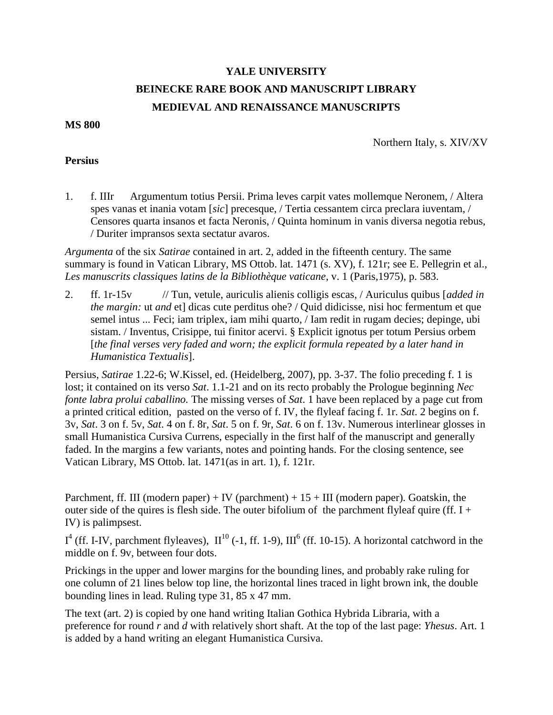## **YALE UNIVERSITY BEINECKE RARE BOOK AND MANUSCRIPT LIBRARY MEDIEVAL AND RENAISSANCE MANUSCRIPTS**

**MS 800**

Northern Italy, s. XIV/XV

## **Persius**

1. f. IIIr Argumentum totius Persii. Prima leves carpit vates mollemque Neronem, / Altera spes vanas et inania votam [*sic*] precesque, / Tertia cessantem circa preclara iuventam, / Censores quarta insanos et facta Neronis, / Quinta hominum in vanis diversa negotia rebus, / Duriter impransos sexta sectatur avaros.

*Argumenta* of the six *Satirae* contained in art. 2, added in the fifteenth century. The same summary is found in Vatican Library, MS Ottob. lat. 1471 (s. XV), f. 121r; see E. Pellegrin et al., *Les manuscrits classiques latins de la Bibliothèque vaticane*, v. 1 (Paris,1975), p. 583.

2. ff. 1r-15v // Tun, vetule, auriculis alienis colligis escas, / Auriculus quibus [*added in the margin:* ut *and* et] dicas cute perditus ohe? / Quid didicisse, nisi hoc fermentum et que semel intus ... Feci; iam triplex, iam mihi quarto, / Iam redit in rugam decies; depinge, ubi sistam. / Inventus, Crisippe, tui finitor acervi. § Explicit ignotus per totum Persius orbem [*the final verses very faded and worn; the explicit formula repeated by a later hand in Humanistica Textualis*].

Persius, *Satirae* 1.22-6; W.Kissel, ed. (Heidelberg, 2007), pp. 3-37. The folio preceding f. 1 is lost; it contained on its verso *Sat*. 1.1-21 and on its recto probably the Prologue beginning *Nec fonte labra prolui caballino.* The missing verses of *Sat*. 1 have been replaced by a page cut from a printed critical edition, pasted on the verso of f. IV, the flyleaf facing f. 1r. *Sat*. 2 begins on f. 3v, *Sat*. 3 on f. 5v, *Sat*. 4 on f. 8r, *Sat*. 5 on f. 9r, *Sat*. 6 on f. 13v. Numerous interlinear glosses in small Humanistica Cursiva Currens, especially in the first half of the manuscript and generally faded. In the margins a few variants, notes and pointing hands. For the closing sentence, see Vatican Library, MS Ottob. lat. 1471(as in art. 1), f. 121r.

Parchment, ff. III (modern paper) + IV (parchment) +  $15 +$  III (modern paper). Goatskin, the outer side of the quires is flesh side. The outer bifolium of the parchment flyleaf quire (ff. I + IV) is palimpsest.

 $I^4$  (ff. I-IV, parchment flyleaves),  $II^{10}$  (-1, ff. 1-9),  $III^6$  (ff. 10-15). A horizontal catchword in the middle on f. 9v, between four dots.

Prickings in the upper and lower margins for the bounding lines, and probably rake ruling for one column of 21 lines below top line, the horizontal lines traced in light brown ink, the double bounding lines in lead. Ruling type 31, 85 x 47 mm.

The text (art. 2) is copied by one hand writing Italian Gothica Hybrida Libraria, with a preference for round *r* and *d* with relatively short shaft. At the top of the last page: *Yhesus*. Art. 1 is added by a hand writing an elegant Humanistica Cursiva.